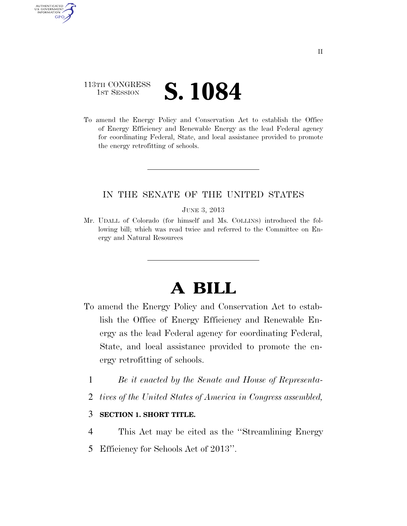# 113TH CONGRESS **1ST SESSION S. 1084**

AUTHENTICATED U.S. GOVERNMENT **GPO** 

> To amend the Energy Policy and Conservation Act to establish the Office of Energy Efficiency and Renewable Energy as the lead Federal agency for coordinating Federal, State, and local assistance provided to promote the energy retrofitting of schools.

## IN THE SENATE OF THE UNITED STATES

#### JUNE 3, 2013

Mr. UDALL of Colorado (for himself and Ms. COLLINS) introduced the following bill; which was read twice and referred to the Committee on Energy and Natural Resources

# **A BILL**

- To amend the Energy Policy and Conservation Act to establish the Office of Energy Efficiency and Renewable Energy as the lead Federal agency for coordinating Federal, State, and local assistance provided to promote the energy retrofitting of schools.
	- 1 *Be it enacted by the Senate and House of Representa-*
	- 2 *tives of the United States of America in Congress assembled,*

### 3 **SECTION 1. SHORT TITLE.**

- 4 This Act may be cited as the ''Streamlining Energy
- 5 Efficiency for Schools Act of 2013''.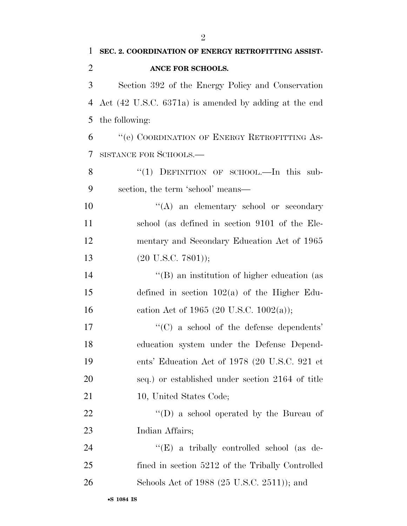| $\mathbf{1}$   | SEC. 2. COORDINATION OF ENERGY RETROFITTING ASSIST-              |
|----------------|------------------------------------------------------------------|
| $\overline{2}$ | ANCE FOR SCHOOLS.                                                |
| 3              | Section 392 of the Energy Policy and Conservation                |
| 4              | Act $(42 \text{ U.S.C. } 6371a)$ is amended by adding at the end |
| 5              | the following:                                                   |
| 6              | "(e) COORDINATION OF ENERGY RETROFITTING AS-                     |
| $\tau$         | SISTANCE FOR SCHOOLS.-                                           |
| 8              | "(1) DEFINITION OF SCHOOL.—In this sub-                          |
| 9              | section, the term 'school' means—                                |
| 10             | "(A) an elementary school or secondary                           |
| 11             | school (as defined in section 9101 of the Ele-                   |
| 12             | mentary and Secondary Education Act of 1965                      |
| 13             | $(20 \text{ U.S.C. } 7801));$                                    |
| 14             | "(B) an institution of higher education (as                      |
| 15             | defined in section $102(a)$ of the Higher Edu-                   |
| 16             | cation Act of 1965 (20 U.S.C. 1002(a));                          |
| 17             | $\cdot$ (C) a school of the defense dependents'                  |
| 18             | education system under the Defense Depend-                       |
| 19             | ents' Education Act of 1978 (20 U.S.C. 921 et                    |
| 20             | seq.) or established under section 2164 of title                 |
| 21             | 10, United States Code;                                          |
| <u>22</u>      | $\lq\lq$ (D) a school operated by the Bureau of                  |
| 23             | Indian Affairs;                                                  |
| 24             | " $(E)$ a tribally controlled school (as de-                     |
| 25             | fined in section 5212 of the Tribally Controlled                 |
| 26             | Schools Act of 1988 (25 U.S.C. 2511)); and                       |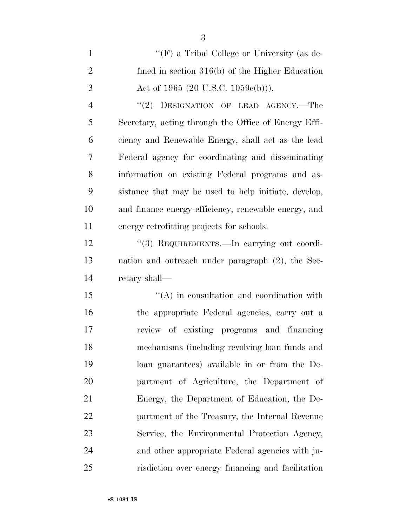1 ''(F) a Tribal College or University (as de- fined in section 316(b) of the Higher Education 3 Act of 1965 (20 U.S.C. 1059 $c(b)$ )). 4 "(2) DESIGNATION OF LEAD AGENCY.—The Secretary, acting through the Office of Energy Effi- ciency and Renewable Energy, shall act as the lead Federal agency for coordinating and disseminating information on existing Federal programs and as- sistance that may be used to help initiate, develop, and finance energy efficiency, renewable energy, and energy retrofitting projects for schools. 12 "(3) REQUIREMENTS.—In carrying out coordi- nation and outreach under paragraph (2), the Sec- retary shall— 15 "(A) in consultation and coordination with the appropriate Federal agencies, carry out a review of existing programs and financing

 mechanisms (including revolving loan funds and loan guarantees) available in or from the De- partment of Agriculture, the Department of Energy, the Department of Education, the De- partment of the Treasury, the Internal Revenue Service, the Environmental Protection Agency, and other appropriate Federal agencies with ju-risdiction over energy financing and facilitation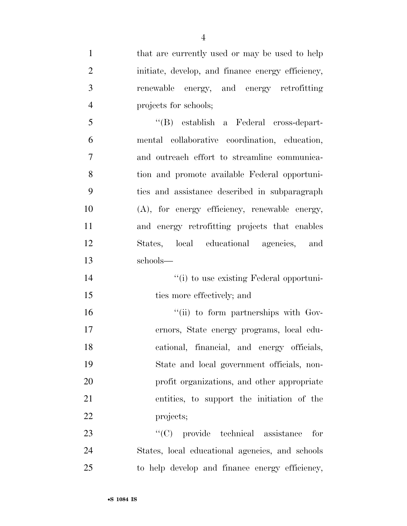| $\mathbf{1}$   | that are currently used or may be used to help    |
|----------------|---------------------------------------------------|
| $\overline{2}$ | initiate, develop, and finance energy efficiency, |
| 3              | renewable energy, and energy retrofitting         |
| $\overline{4}$ | projects for schools;                             |
| 5              | "(B) establish a Federal cross-depart-            |
| 6              | mental collaborative coordination, education,     |
| $\overline{7}$ | and outreach effort to streamline communica-      |
| 8              | tion and promote available Federal opportuni-     |
| 9              | ties and assistance described in subparagraph     |
| 10             | (A), for energy efficiency, renewable energy,     |
| 11             | and energy retrofitting projects that enables     |
| 12             | States, local educational agencies, and           |
| 13             | schools-                                          |
|                |                                                   |
| 14             | "(i) to use existing Federal opportuni-           |
| 15             | ties more effectively; and                        |
| 16             | "(ii) to form partnerships with Gov-              |
| 17             | ernors, State energy programs, local edu-         |
| 18             | cational, financial, and energy officials,        |
| 19             | State and local government officials, non-        |
| 20             | profit organizations, and other appropriate       |
| 21             | entities, to support the initiation of the        |
| 22             | projects;                                         |
| 23             | $\lq\lq$ (C) provide technical assistance<br>for  |
| 24             | States, local educational agencies, and schools   |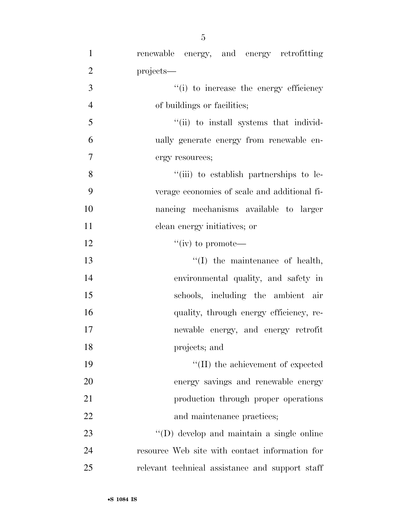| $\mathbf{1}$   | renewable energy, and energy retrofitting       |
|----------------|-------------------------------------------------|
| $\overline{2}$ | projects—                                       |
| 3              | "(i) to increase the energy efficiency          |
| $\overline{4}$ | of buildings or facilities;                     |
| 5              | "(ii) to install systems that individ-          |
| 6              | ually generate energy from renewable en-        |
| 7              | ergy resources;                                 |
| 8              | "(iii) to establish partnerships to le-         |
| 9              | verage economies of scale and additional fi-    |
| 10             | nancing mechanisms available to larger          |
| 11             | clean energy initiatives; or                    |
| 12             | "(iv) to promote—                               |
| 13             | $\lq\lq$ the maintenance of health,             |
| 14             | environmental quality, and safety in            |
| 15             | schools, including the ambient air              |
| 16             | quality, through energy efficiency, re-         |
| 17             | newable energy, and energy retrofit             |
| 18             | projects; and                                   |
| 19             | $\lq\lq$ (II) the achievement of expected       |
| 20             | energy savings and renewable energy             |
| 21             | production through proper operations            |
| 22             | and maintenance practices;                      |
| 23             | "(D) develop and maintain a single online       |
| 24             | resource Web site with contact information for  |
| 25             | relevant technical assistance and support staff |